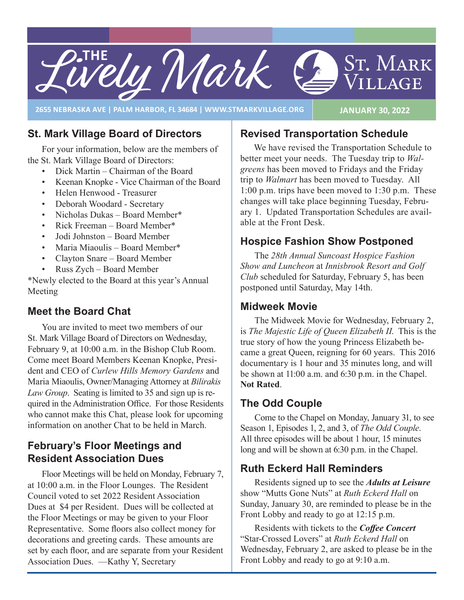

**2655 NEBRASKA AVE | PALM HARBOR, FL 34684 | WWW.STMARKVILLAGE.ORG JANUARY 30, 2022**

## **St. Mark Village Board of Directors**

For your information, below are the members of the St. Mark Village Board of Directors:

- Dick Martin Chairman of the Board
- Keenan Knopke Vice Chairman of the Board
- Helen Henwood Treasurer
- Deborah Woodard Secretary
- Nicholas Dukas Board Member\*
- Rick Freeman Board Member\*
- Jodi Johnston Board Member
- Maria Miaoulis Board Member\*
- Clayton Snare Board Member
- Russ Zych Board Member

\*Newly elected to the Board at this year's Annual Meeting

## **Meet the Board Chat**

You are invited to meet two members of our St. Mark Village Board of Directors on Wednesday, February 9, at 10:00 a.m. in the Bishop Club Room. Come meet Board Members Keenan Knopke, President and CEO of *Curlew Hills Memory Gardens* and Maria Miaoulis, Owner/Managing Attorney at *Bilirakis Law Group*. Seating is limited to 35 and sign up is required in the Administration Office. For those Residents who cannot make this Chat, please look for upcoming information on another Chat to be held in March.

## **February's Floor Meetings and Resident Association Dues**

Floor Meetings will be held on Monday, February 7, at 10:00 a.m. in the Floor Lounges. The Resident Council voted to set 2022 Resident Association Dues at \$4 per Resident. Dues will be collected at the Floor Meetings or may be given to your Floor Representative. Some floors also collect money for decorations and greeting cards. These amounts are set by each floor, and are separate from your Resident Association Dues. —Kathy Y, Secretary

## **Revised Transportation Schedule**

We have revised the Transportation Schedule to better meet your needs. The Tuesday trip to *Walgreens* has been moved to Fridays and the Friday trip to *Walmart* has been moved to Tuesday. All 1:00 p.m. trips have been moved to 1:30 p.m. These changes will take place beginning Tuesday, February 1. Updated Transportation Schedules are available at the Front Desk.

## **Hospice Fashion Show Postponed**

The *28th Annual Suncoast Hospice Fashion Show and Luncheon* at *Innisbrook Resort and Golf Club* scheduled for Saturday, February 5, has been postponed until Saturday, May 14th.

#### **Midweek Movie**

The Midweek Movie for Wednesday, February 2, is *The Majestic Life of Queen Elizabeth II*. This is the true story of how the young Princess Elizabeth became a great Queen, reigning for 60 years. This 2016 documentary is 1 hour and 35 minutes long, and will be shown at 11:00 a.m. and 6:30 p.m. in the Chapel. **Not Rated**.

## **The Odd Couple**

Come to the Chapel on Monday, January 31, to see Season 1, Episodes 1, 2, and 3, of *The Odd Couple*. All three episodes will be about 1 hour, 15 minutes long and will be shown at 6:30 p.m. in the Chapel.

## **Ruth Eckerd Hall Reminders**

Residents signed up to see the *Adults at Leisure* show "Mutts Gone Nuts" at *Ruth Eckerd Hall* on Sunday, January 30, are reminded to please be in the Front Lobby and ready to go at 12:15 p.m.

Residents with tickets to the *Coffee Concert*  "Star-Crossed Lovers" at *Ruth Eckerd Hall* on Wednesday, February 2, are asked to please be in the Front Lobby and ready to go at 9:10 a.m.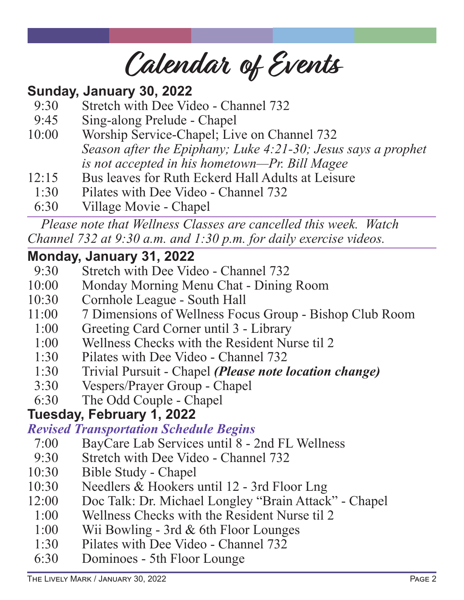**Calendar of Events**

# **Sunday, January 30, 2022**

- 9:30 Stretch with Dee Video Channel 732
- 9:45 Sing-along Prelude Chapel
- 10:00 Worship Service-Chapel; Live on Channel 732 *Season after the Epiphany; Luke 4:21-30; Jesus says a prophet is not accepted in his hometown—Pr. Bill Magee*
- 12:15 Bus leaves for Ruth Eckerd Hall Adults at Leisure
- 1:30 Pilates with Dee Video Channel 732
- 6:30 Village Movie Chapel

*Please note that Wellness Classes are cancelled this week. Watch Channel 732 at 9:30 a.m. and 1:30 p.m. for daily exercise videos.*

## **Monday, January 31, 2022**

- 9:30 Stretch with Dee Video Channel 732
- 10:00 Monday Morning Menu Chat Dining Room
- 10:30 Cornhole League South Hall
- 11:00 7 Dimensions of Wellness Focus Group Bishop Club Room
- 1:00 Greeting Card Corner until 3 Library
- 1:00 Wellness Checks with the Resident Nurse til 2
- 1:30 Pilates with Dee Video Channel 732
- 1:30 Trivial Pursuit Chapel *(Please note location change)*
- 3:30 Vespers/Prayer Group Chapel
- 6:30 The Odd Couple Chapel

## **Tuesday, February 1, 2022**

## *Revised Transportation Schedule Begins*

- 7:00 BayCare Lab Services until 8 2nd FL Wellness
- 9:30 Stretch with Dee Video Channel 732
- 10:30 Bible Study Chapel
- 10:30 Needlers & Hookers until 12 3rd Floor Lng
- 12:00 Doc Talk: Dr. Michael Longley "Brain Attack" Chapel
	- 1:00 Wellness Checks with the Resident Nurse til 2
	- 1:00 Wii Bowling 3rd & 6th Floor Lounges
	- 1:30 Pilates with Dee Video Channel 732
	- 6:30 Dominoes 5th Floor Lounge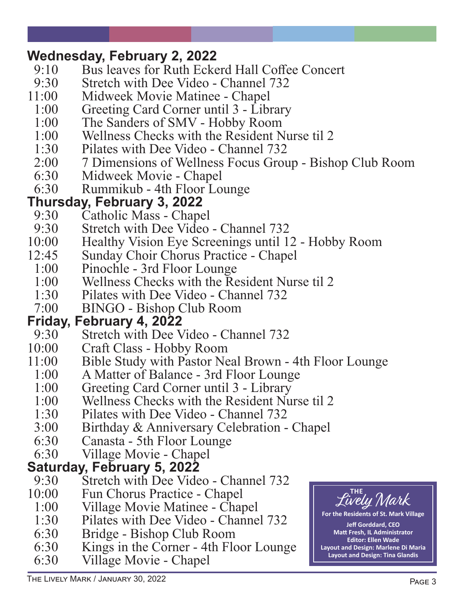# **Wednesday, February 2, 2022**<br>9:10 Bus leaves for Ruth Ecke

- 9:10 Bus leaves for Ruth Eckerd Hall Coffee Concert<br>9:30 Stretch with Dee Video Channel 732
- 9:30 Stretch with Dee Video Channel 732<br>11:00 Midweek Movie Matinee Chanel
- Midweek Movie Matinee Chapel
- 1:00 Greeting Card Corner until 3 Library
- 1:00 The Sanders of SMV Hobby Room<br>1:00 Wellness Checks with the Resident N
- Wellness Checks with the Resident Nurse til 2
- 1:30 Pilates with Dee Video Channel 732
- 2:00 7 Dimensions of Wellness Focus Group Bishop Club Room<br>6:30 Midweek Movie Chapel
- 6:30 Midweek Movie Chapel<br>6:30 Rummikub 4th Floor Lo
- Rummikub 4th Floor Lounge

# **Thursday, February 3, 2022**

- 9:30 Catholic Mass Chapel<br>9:30 Stretch with Dee Video
- Stretch with Dee Video Channel 732
- 10:00 Healthy Vision Eye Screenings until 12 Hobby Room<br>12:45 Sunday Choir Chorus Practice Chapel
- 2:45 Sunday Choir Chorus Practice Chapel<br>1:00 Pinochle 3rd Floor Lounge
- Pinochle 3rd Floor Lounge
- 1:00 Wellness Checks with the Resident Nurse til 2
- 1:30 Pilates with Dee Video Channel 732<br>7:00 BINGO Bishop Club Room
- 7:00 BINGO Bishop Club Room

## **Friday, February 4, 2022**

- 9:30 Stretch with Dee Video Channel 732<br>10:00 Craft Class Hobby Room
- Craft Class Hobby Room
- 11:00 Bible Study with Pastor Neal Brown 4th Floor Lounge
	- 1:00 A Matter of Balance 3rd Floor Lounge
- 1:00 Greeting Card Corner until 3 Library
- 1:00 Wellness Checks with the Resident Nurse til 2
- 1:30 Pilates with Dee Video Channel 732<br>3:00 Birthday & Anniversary Celebration -
- 3:00 Birthday & Anniversary Celebration Chapel<br>6:30 Canasta 5th Floor Lounge
- 6:30 Canasta 5th Floor Lounge<br>6:30 Village Movie Chapel
- Village Movie Chapel

## **Saturday, February 5, 2022**

- 9:30 Stretch with Dee Video Channel 732
- 10:00 Fun Chorus Practice Chapel
- 1:00 Village Movie Matinee Chapel
- 1:30 Pilates with Dee Video Channel 732
- 6:30 Bridge Bishop Club Room
- Kings in the Corner 4th Floor Lounge
- 6:30 Village Movie Chapel



**St. Mark Village** 

**Jeff Gorddard, CEO Matt Fresh, IL Administrator Editor: Ellen Wade Layout and Design: Marlene Di Maria Layout and Design: Tina Glandis**